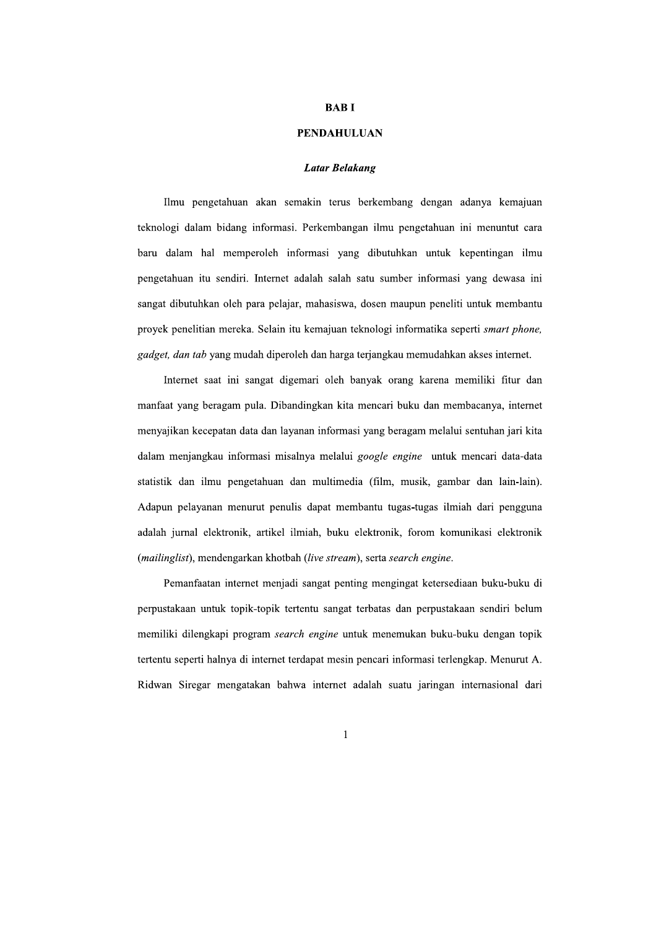## **BABI**

### **PENDAHULUAN**

## **Latar Belakang**

Ilmu pengetahuan akan semakin terus berkembang dengan adanya kemajuan teknologi dalam bidang informasi. Perkembangan ilmu pengetahuan ini menuntut cara baru dalam hal memperoleh informasi yang dibutuhkan untuk kepentingan ilmu pengetahuan itu sendiri. Internet adalah salah satu sumber informasi yang dewasa ini sangat dibutuhkan oleh para pelajar, mahasiswa, dosen maupun peneliti untuk membantu proyek penelitian mereka. Selain itu kemajuan teknologi informatika seperti smart phone, gadget, dan tab yang mudah diperoleh dan harga terjangkau memudahkan akses internet.

Internet saat ini sangat digemari oleh banyak orang karena memiliki fitur dan manfaat yang beragam pula. Dibandingkan kita mencari buku dan membacanya, internet menyajikan kecepatan data dan layanan informasi yang beragam melalui sentuhan jari kita dalam menjangkau informasi misalnya melalui google engine untuk mencari data-data statistik dan ilmu pengetahuan dan multimedia (film, musik, gambar dan lain-lain). Adapun pelayanan menurut penulis dapat membantu tugas-tugas ilmiah dari pengguna adalah jurnal elektronik, artikel ilmiah, buku elektronik, forom komunikasi elektronik (mailinglist), mendengarkan khotbah (live stream), serta search engine.

Pemanfaatan internet menjadi sangat penting mengingat ketersediaan buku-buku di perpustakaan untuk topik-topik tertentu sangat terbatas dan perpustakaan sendiri belum memiliki dilengkapi program *search engine* untuk menemukan buku-buku dengan topik tertentu seperti halnya di internet terdapat mesin pencari informasi terlengkap. Menurut A. Ridwan Siregar mengatakan bahwa internet adalah suatu jaringan internasional dari

# $\mathbf{1}$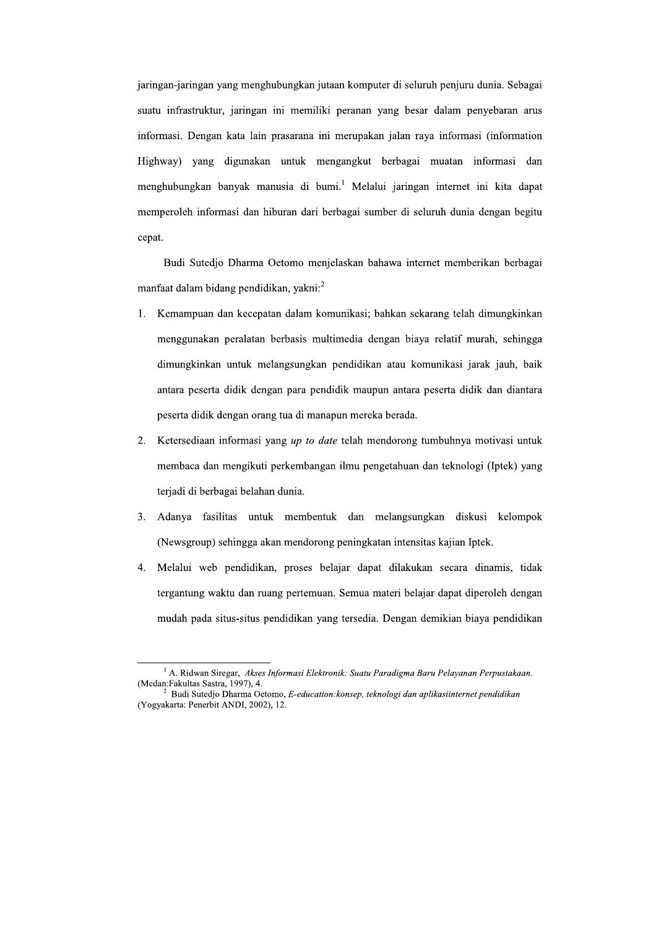jaringan-jaringan yang menghubungkan jutaan komputer di seluruh penjuru dunia. Sebagai suatu infrastruktur, jaringan ini memiliki peranan yang besar dalam penyebaran arus informasi. Dengan kata lain prasarana ini merupakan jalan raya informasi (information Highway) yang digunakan untuk mengangkut berbagai muatan informasi dan menghubungkan banyak manusia di bumi.<sup>1</sup> Melalui jaringan internet ini kita dapat memperoleh informasi dan hiburan dari berbagai sumber di seluruh dunia dengan begitu cepat.

Budi Sutedio Dharma Oetomo menjelaskan bahawa internet memberikan berbagai manfaat dalam bidang pendidikan, yakni:<sup>2</sup>

- 1. Kemampuan dan kecepatan dalam komunikasi; bahkan sekarang telah dimungkinkan menggunakan peralatan berbasis multimedia dengan biaya relatif murah, sehingga dimungkinkan untuk melangsungkan pendidikan atau komunikasi jarak jauh, baik antara peserta didik dengan para pendidik maupun antara peserta didik dan diantara peserta didik dengan orang tua di manapun mereka berada.
- 2. Ketersediaan informasi yang up to date telah mendorong tumbuhnya motivasi untuk membaca dan mengikuti perkembangan ilmu pengetahuan dan teknologi (Iptek) yang terjadi di berbagai belahan dunia.
- $\overline{3}$ . Adanya fasilitas untuk membentuk dan melangsungkan diskusi kelompok (Newsgroup) sehingga akan mendorong peningkatan intensitas kajian Iptek.
- Melalui web pendidikan, proses belajar dapat dilakukan secara dinamis, tidak  $\overline{4}$ . tergantung waktu dan ruang pertemuan. Semua materi belajar dapat diperoleh dengan mudah pada situs-situs pendidikan yang tersedia. Dengan demikian biaya pendidikan

 $^{1}$  A. Ridwan Siregar, Akses Informasi Elektronik: Suatu Paradigma Baru Pelayanan Perpustakaan. (Medan:Fakultas Sastra, 1997), 4.

Budi Sutedjo Dharma Oetomo, E-education: konsep, teknologi dan aplikasiinternet pendidikan (Yogyakarta: Penerbit ANDI, 2002), 12.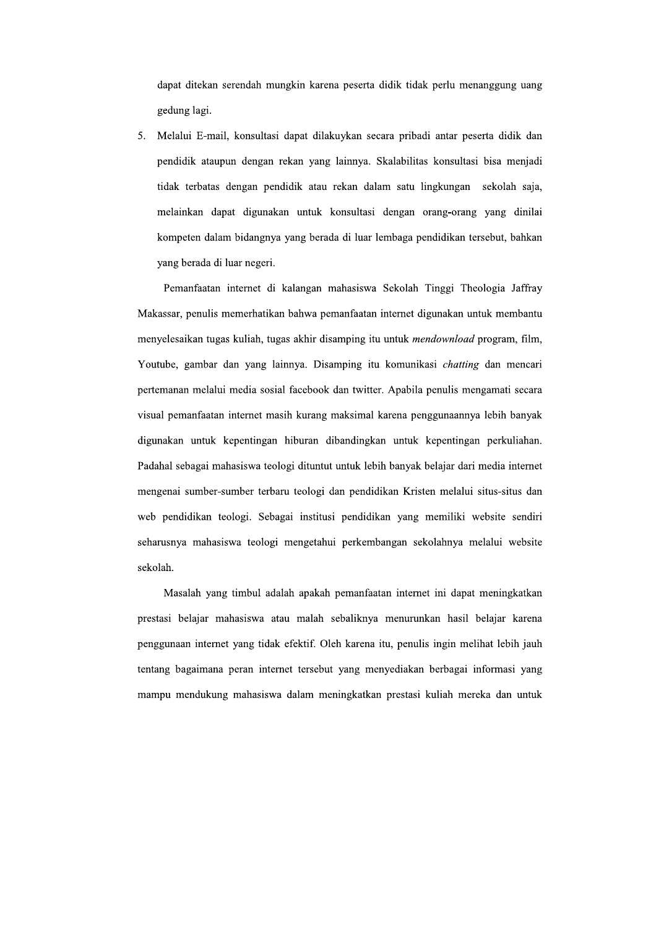dapat ditekan serendah mungkin karena peserta didik tidak perlu menanggung uang gedung lagi.

5. Melalui E-mail, konsultasi dapat dilakuykan secara pribadi antar peserta didik dan pendidik ataupun dengan rekan yang lainnya. Skalabilitas konsultasi bisa menjadi tidak terbatas dengan pendidik atau rekan dalam satu lingkungan sekolah saja, melainkan dapat digunakan untuk konsultasi dengan orang-orang yang dinilai kompeten dalam bidangnya yang berada di luar lembaga pendidikan tersebut, bahkan vang berada di luar negeri.

Pemanfaatan internet di kalangan mahasiswa Sekolah Tinggi Theologia Jaffray Makassar, penulis memerhatikan bahwa pemanfaatan internet digunakan untuk membantu menyelesaikan tugas kuliah, tugas akhir disamping itu untuk *mendownload* program, film, Youtube, gambar dan yang lainnya. Disamping itu komunikasi *chatting* dan mencari pertemanan melalui media sosial facebook dan twitter. Apabila penulis mengamati secara visual pemanfaatan internet masih kurang maksimal karena penggunaannya lebih banyak digunakan untuk kepentingan hiburan dibandingkan untuk kepentingan perkuliahan. Padahal sebagai mahasiswa teologi dituntut untuk lebih banyak belajar dari media internet mengenai sumber-sumber terbaru teologi dan pendidikan Kristen melalui situs-situs dan web pendidikan teologi. Sebagai institusi pendidikan yang memiliki website sendiri seharusnya mahasiswa teologi mengetahui perkembangan sekolahnya melalui website sekolah.

Masalah yang timbul adalah apakah pemanfaatan internet ini dapat meningkatkan prestasi belajar mahasiswa atau malah sebaliknya menurunkan hasil belajar karena penggunaan internet yang tidak efektif. Oleh karena itu, penulis ingin melihat lebih jauh tentang bagaimana peran internet tersebut yang menyediakan berbagai informasi yang mampu mendukung mahasiswa dalam meningkatkan prestasi kuliah mereka dan untuk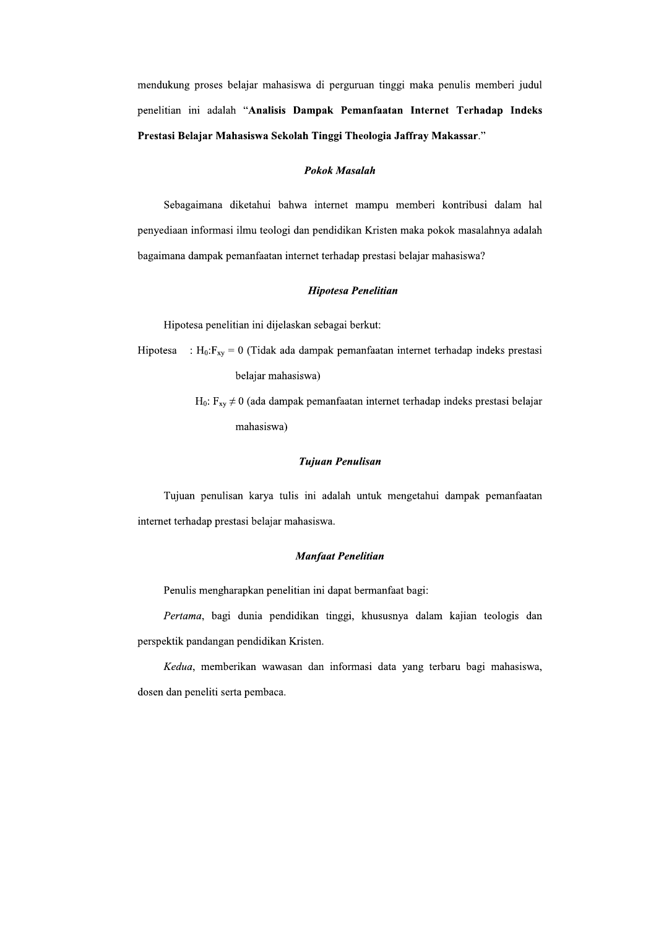mendukung proses belajar mahasiswa di perguruan tinggi maka penulis memberi judul penelitian ini adalah "Analisis Dampak Pemanfaatan Internet Terhadap Indeks Prestasi Belajar Mahasiswa Sekolah Tinggi Theologia Jaffray Makassar."

### **Pokok Masalah**

Sebagaimana diketahui bahwa internet mampu memberi kontribusi dalam hal penyediaan informasi ilmu teologi dan pendidikan Kristen maka pokok masalahnya adalah bagaimana dampak pemanfaatan internet terhadap prestasi belajar mahasiswa?

### **Hipotesa Penelitian**

Hipotesa penelitian ini dijelaskan sebagai berkut:

:  $H_0$ :  $F_{xy} = 0$  (Tidak ada dampak pemanfaatan internet terhadap indeks prestasi Hipotesa belajar mahasiswa)

> $H_0$ :  $F_{xy} \neq 0$  (ada dampak pemanfaatan internet terhadap indeks prestasi belajar mahasiswa)

### **Tujuan Penulisan**

Tujuan penulisan karya tulis ini adalah untuk mengetahui dampak pemanfaatan internet terhadap prestasi belajar mahasiswa.

### **Manfaat Penelitian**

Penulis mengharapkan penelitian ini dapat bermanfaat bagi:

Pertama, bagi dunia pendidikan tinggi, khususnya dalam kajian teologis dan perspektik pandangan pendidikan Kristen.

Kedua, memberikan wawasan dan informasi data yang terbaru bagi mahasiswa, dosen dan peneliti serta pembaca.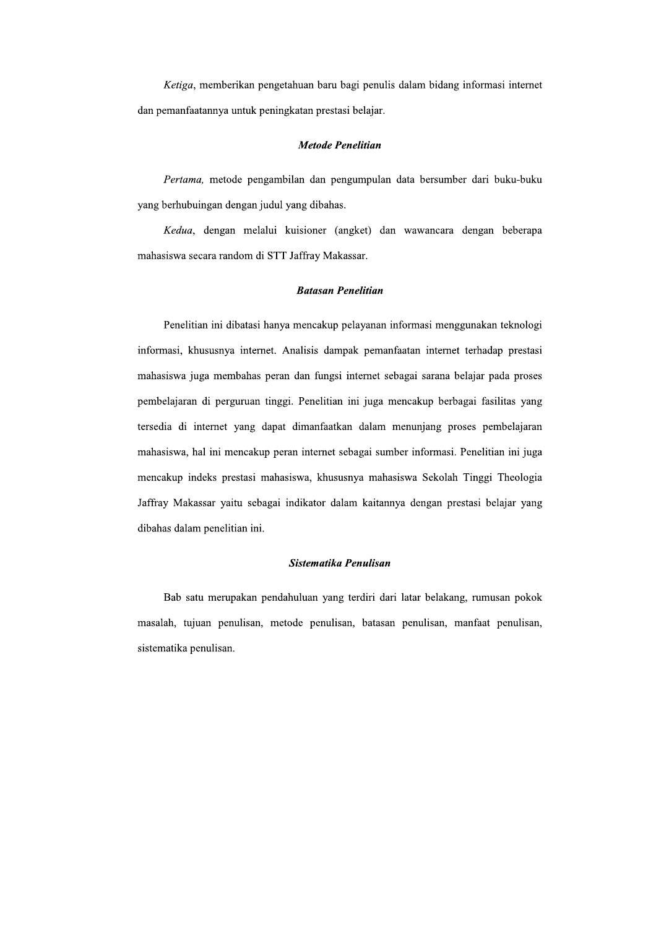Ketiga, memberikan pengetahuan baru bagi penulis dalam bidang informasi internet dan pemanfaatannya untuk peningkatan prestasi belajar.

### **Metode Penelitian**

Pertama, metode pengambilan dan pengumpulan data bersumber dari buku-buku yang berhubuingan dengan judul yang dibahas.

Kedua, dengan melalui kuisioner (angket) dan wawancara dengan beberapa mahasiswa secara random di STT Jaffray Makassar.

### **Batasan Penelitian**

Penelitian ini dibatasi hanya mencakup pelayanan informasi menggunakan teknologi informasi, khususnya internet. Analisis dampak pemanfaatan internet terhadap prestasi mahasiswa juga membahas peran dan fungsi internet sebagai sarana belajar pada proses pembelajaran di perguruan tinggi. Penelitian ini juga mencakup berbagai fasilitas yang tersedia di internet yang dapat dimanfaatkan dalam menunjang proses pembelajaran mahasiswa, hal ini mencakup peran internet sebagai sumber informasi. Penelitian ini juga mencakup indeks prestasi mahasiswa, khususnya mahasiswa Sekolah Tinggi Theologia Jaffray Makassar yaitu sebagai indikator dalam kaitannya dengan prestasi belajar yang dibahas dalam penelitian ini.

## Sistematika Penulisan

Bab satu merupakan pendahuluan yang terdiri dari latar belakang, rumusan pokok masalah, tujuan penulisan, metode penulisan, batasan penulisan, manfaat penulisan, sistematika penulisan.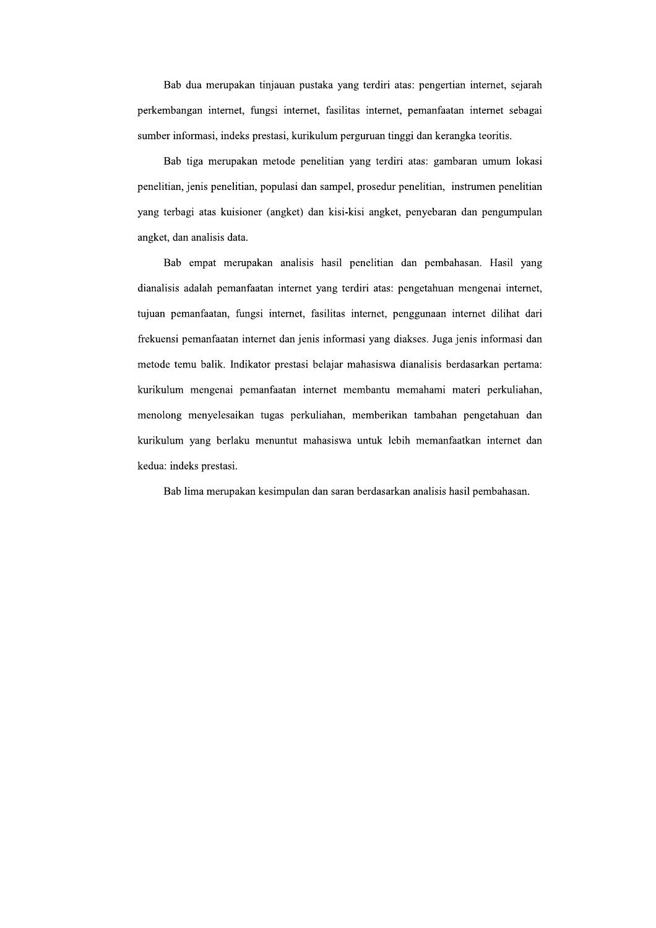Bab dua merupakan tinjauan pustaka yang terdiri atas: pengertian internet, sejarah perkembangan internet, fungsi internet, fasilitas internet, pemanfaatan internet sebagai sumber informasi, indeks prestasi, kurikulum perguruan tinggi dan kerangka teoritis.

Bab tiga merupakan metode penelitian yang terdiri atas: gambaran umum lokasi penelitian, jenis penelitian, populasi dan sampel, prosedur penelitian, instrumen penelitian yang terbagi atas kuisioner (angket) dan kisi-kisi angket, penyebaran dan pengumpulan angket, dan analisis data.

Bab empat merupakan analisis hasil penelitian dan pembahasan. Hasil yang dianalisis adalah pemanfaatan internet yang terdiri atas: pengetahuan mengenai internet, tujuan pemanfaatan, fungsi internet, fasilitas internet, penggunaan internet dilihat dari frekuensi pemanfaatan internet dan jenis informasi yang diakses. Juga jenis informasi dan metode temu balik. Indikator prestasi belajar mahasiswa dianalisis berdasarkan pertama: kurikulum mengenai pemanfaatan internet membantu memahami materi perkuliahan, menolong menyelesaikan tugas perkuliahan, memberikan tambahan pengetahuan dan kurikulum yang berlaku menuntut mahasiswa untuk lebih memanfaatkan internet dan kedua: indeks prestasi.

Bab lima merupakan kesimpulan dan saran berdasarkan analisis hasil pembahasan.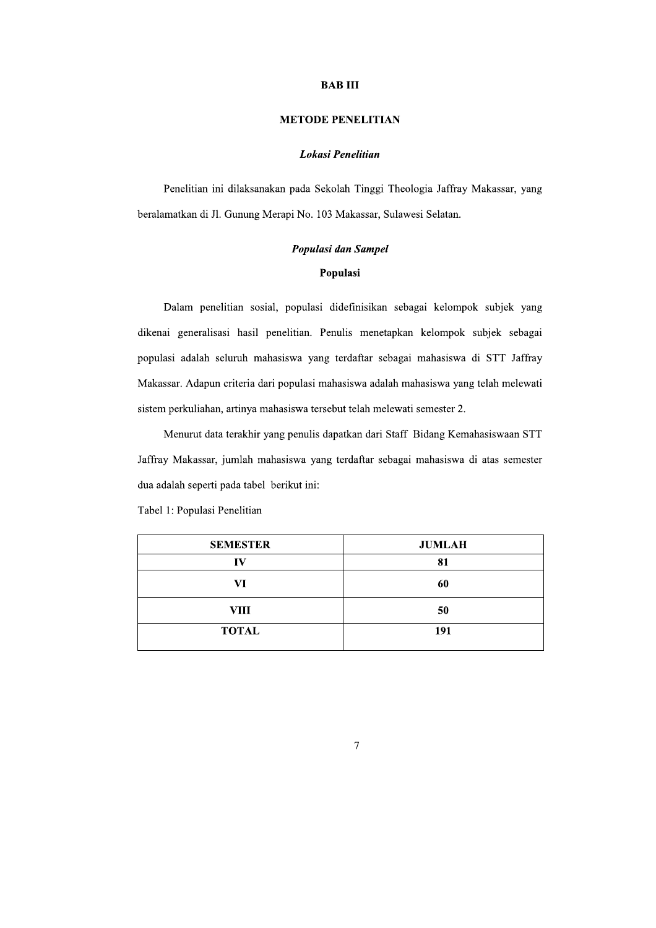## **BAB III**

# **METODE PENELITIAN**

## Lokasi Penelitian

Penelitian ini dilaksanakan pada Sekolah Tinggi Theologia Jaffray Makassar, yang beralamatkan di Jl. Gunung Merapi No. 103 Makassar, Sulawesi Selatan.

# Populasi dan Sampel

# Populasi

Dalam penelitian sosial, populasi didefinisikan sebagai kelompok subjek yang dikenai generalisasi hasil penelitian. Penulis menetapkan kelompok subjek sebagai populasi adalah seluruh mahasiswa yang terdaftar sebagai mahasiswa di STT Jaffray Makassar. Adapun criteria dari populasi mahasiswa adalah mahasiswa yang telah melewati sistem perkuliahan, artinya mahasiswa tersebut telah melewati semester 2.

Menurut data terakhir yang penulis dapatkan dari Staff Bidang Kemahasiswaan STT Jaffray Makassar, jumlah mahasiswa yang terdaftar sebagai mahasiswa di atas semester dua adalah seperti pada tabel berikut ini:

| <b>SEMESTER</b> | <b>JUMLAH</b> |  |
|-----------------|---------------|--|
| TV7             | 81            |  |
| VI              | 60            |  |
| VIII            | 50            |  |
| <b>TOTAL</b>    | 191           |  |

Tabel 1: Populasi Penelitian

 $\overline{7}$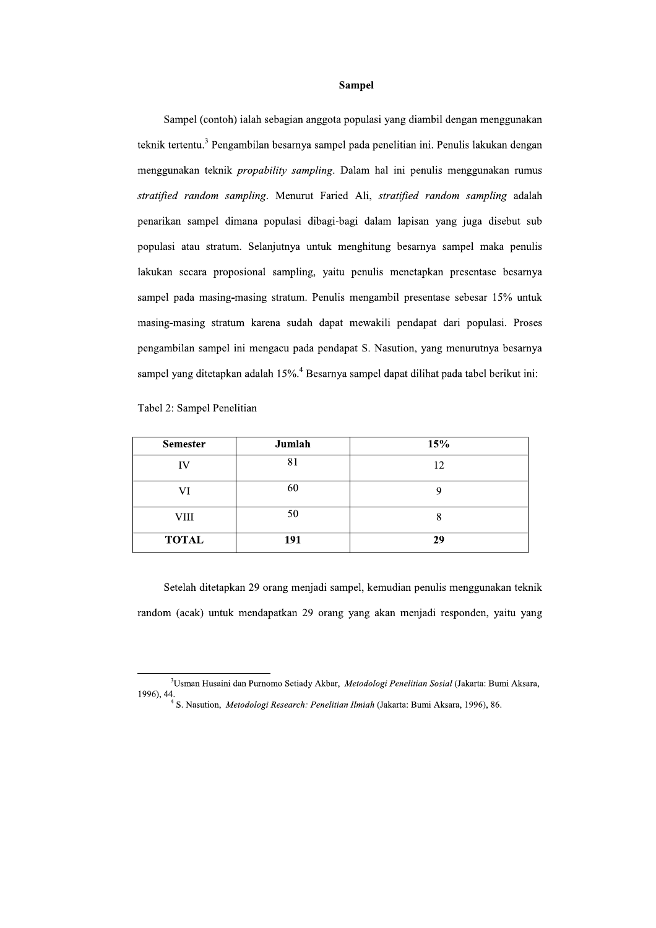### Sampel

Sampel (contoh) ialah sebagian anggota populasi yang diambil dengan menggunakan teknik tertentu.<sup>3</sup> Pengambilan besarnya sampel pada penelitian ini. Penulis lakukan dengan menggunakan teknik *propability sampling*. Dalam hal ini penulis menggunakan rumus stratified random sampling. Menurut Faried Ali, stratified random sampling adalah penarikan sampel dimana populasi dibagi-bagi dalam lapisan yang juga disebut sub populasi atau stratum. Selanjutnya untuk menghitung besarnya sampel maka penulis lakukan secara proposional sampling, yaitu penulis menetapkan presentase besarnya sampel pada masing-masing stratum. Penulis mengambil presentase sebesar 15% untuk masing-masing stratum karena sudah dapat mewakili pendapat dari populasi. Proses pengambilan sampel ini mengacu pada pendapat S. Nasution, yang menurutnya besarnya sampel yang ditetapkan adalah 15%.<sup>4</sup> Besarnya sampel dapat dilihat pada tabel berikut ini:

Tabel 2: Sampel Penelitian

| <b>Semester</b> | Jumlah | 15% |
|-----------------|--------|-----|
| ΙV              | 81     | 12  |
| VI              | 60     |     |
| <b>VIII</b>     | 50     |     |
| <b>TOTAL</b>    | 191    | 29  |

Setelah ditetapkan 29 orang menjadi sampel, kemudian penulis menggunakan teknik random (acak) untuk mendapatkan 29 orang yang akan menjadi responden, yaitu yang

<sup>&</sup>lt;sup>3</sup>Usman Husaini dan Purnomo Setiady Akbar, Metodologi Penelitian Sosial (Jakarta: Bumi Aksara, 1996), 44.<br> $\frac{4}{3}$ S. Nasution, *Metodologi Research: Penelitian Ilmiah* (Jakarta: Bumi Aksara, 1996), 86.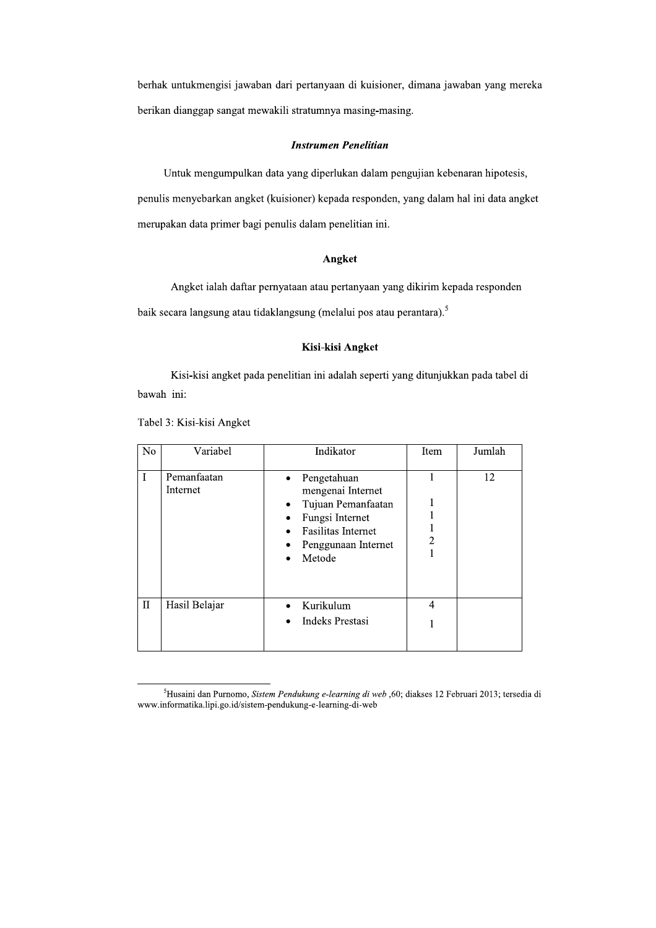berhak untukmengisi jawaban dari pertanyaan di kuisioner, dimana jawaban yang mereka berikan dianggap sangat mewakili stratumnya masing-masing.

### **Instrumen Penelitian**

Untuk mengumpulkan data yang diperlukan dalam pengujian kebenaran hipotesis, penulis menyebarkan angket (kuisioner) kepada responden, yang dalam hal ini data angket merupakan data primer bagi penulis dalam penelitian ini.

### Angket

Angket ialah daftar pernyataan atau pertanyaan yang dikirim kepada responden baik secara langsung atau tidaklangsung (melalui pos atau perantara).<sup>5</sup>

# Kisi-kisi Angket

Kisi-kisi angket pada penelitian ini adalah seperti yang ditunjukkan pada tabel di bawah ini:

| N <sub>o</sub> | Variabel                | Indikator                                                                                                                                                    | Item           | Jumlah |
|----------------|-------------------------|--------------------------------------------------------------------------------------------------------------------------------------------------------------|----------------|--------|
|                | Pemanfaatan<br>Internet | Pengetahuan<br>$\bullet$<br>mengenai Internet<br>Tujuan Pemanfaatan<br>٠<br>Fungsi Internet<br>٠<br>Fasilitas Internet<br>Penggunaan Internet<br>٠<br>Metode | $\overline{c}$ | 12     |
| $\rm II$       | Hasil Belajar           | Kurikulum<br><b>Indeks Prestasi</b>                                                                                                                          | 4              |        |

Tabel 3: Kisi-kisi Angket

<sup>&</sup>lt;sup>5</sup>Husaini dan Purnomo, Sistem Pendukung e-learning di web ,60; diakses 12 Februari 2013; tersedia di www.informatika.lipi.go.id/sistem-pendukung-e-learning-di-web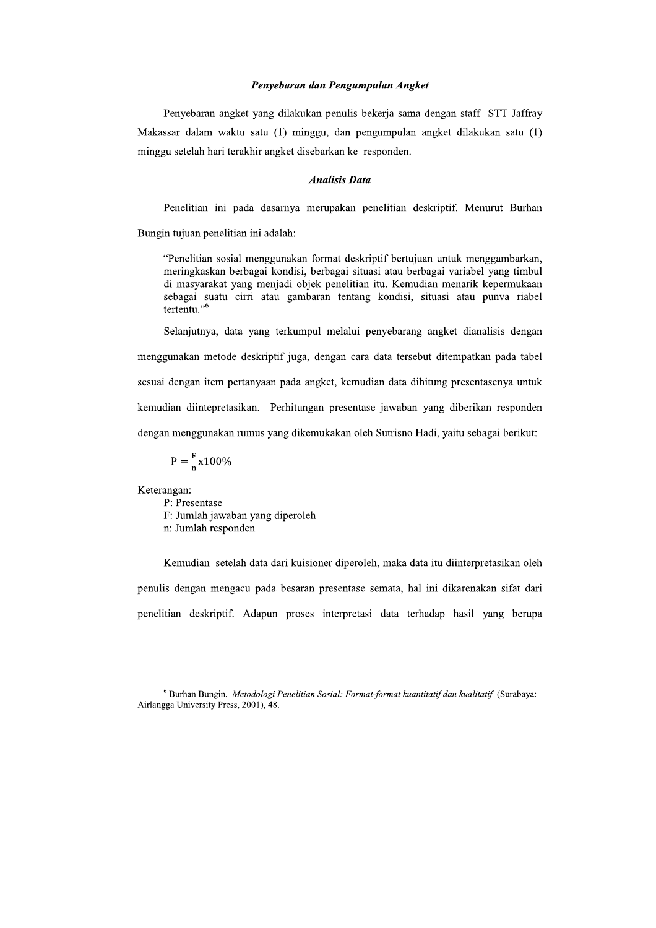## Penyebaran dan Pengumpulan Angket

Penyebaran angket yang dilakukan penulis bekerja sama dengan staff STT Jaffray Makassar dalam waktu satu (1) minggu, dan pengumpulan angket dilakukan satu (1) minggu setelah hari terakhir angket disebarkan ke responden.

### **Analisis Data**

Penelitian ini pada dasarnya merupakan penelitian deskriptif. Menurut Burhan

Bungin tujuan penelitian ini adalah:

"Penelitian sosial menggunakan format deskriptif bertujuan untuk menggambarkan, meringkaskan berbagai kondisi, berbagai situasi atau berbagai variabel yang timbul di masyarakat yang menjadi objek penelitian itu. Kemudian menarik kepermukaan sebagai suatu cirri atau gambaran tentang kondisi, situasi atau punya riabel tertentu."<sup>6</sup>

Selanjutnya, data yang terkumpul melalui penyebarang angket dianalisis dengan menggunakan metode deskriptif juga, dengan cara data tersebut ditempatkan pada tabel sesuai dengan item pertanyaan pada angket, kemudian data dihitung presentasenya untuk kemudian diintepretasikan. Perhitungan presentase jawaban yang diberikan responden dengan menggunakan rumus yang dikemukakan oleh Sutrisno Hadi, yaitu sebagai berikut:

$$
P = \frac{F}{n}x100\%
$$

Keterangan:

P: Presentase F: Jumlah jawaban yang diperoleh n: Jumlah responden

Kemudian setelah data dari kuisioner diperoleh, maka data itu diinterpretasikan oleh penulis dengan mengacu pada besaran presentase semata, hal ini dikarenakan sifat dari penelitian deskriptif. Adapun proses interpretasi data terhadap hasil yang berupa

 $6$  Burhan Bungin, Metodologi Penelitian Sosial: Format-format kuantitatif dan kualitatif (Surabaya: Airlangga University Press, 2001), 48.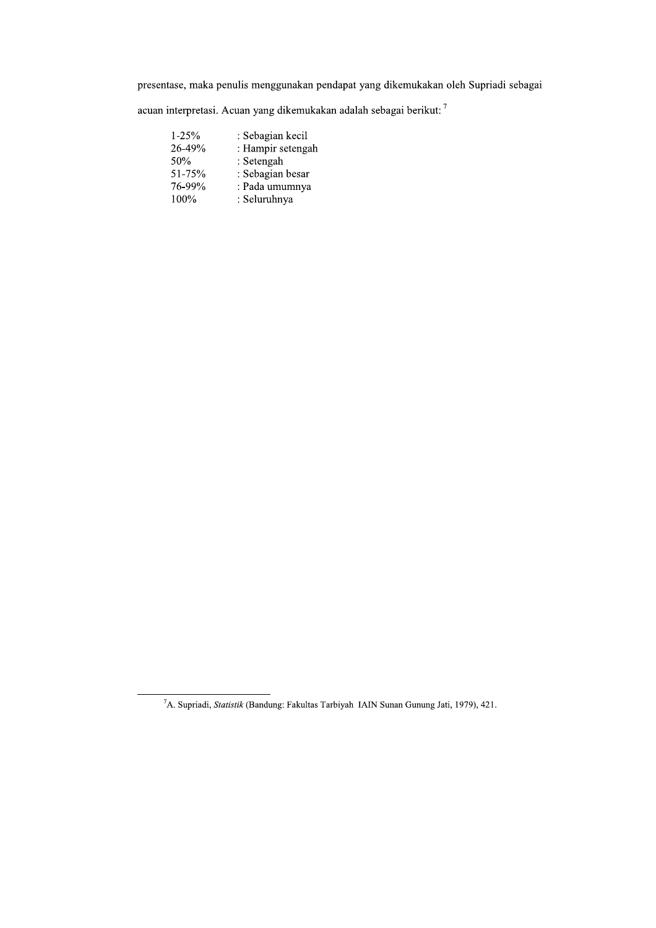presentase, maka penulis menggunakan pendapat yang dikemukakan oleh Supriadi sebagai

acuan interpretasi. Acuan yang dikemukakan adalah sebagai berikut: $^7$ 

| $1 - 25%$ | : Sebagian kecil  |
|-----------|-------------------|
| 26-49%    | : Hampir setengah |
| 50%       | : Setengah        |
| 51-75%    | : Sebagian besar  |
| 76-99%    | : Pada umumnya    |
| 100%      | : Seluruhnya      |

<sup>&</sup>lt;sup>7</sup>A. Supriadi, *Statistik* (Bandung: Fakultas Tarbiyah IAIN Sunan Gunung Jati, 1979), 421.